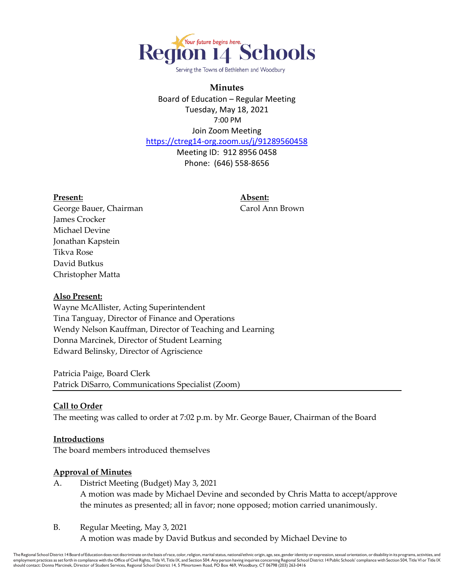

Serving the Towns of Bethlehem and Woodbury

#### **Minutes**

Board of Education – Regular Meeting Tuesday, May 18, 2021 7:00 PM Join Zoom Meeting

<https://ctreg14-org.zoom.us/j/91289560458>

Meeting ID: 912 8956 0458 Phone: (646) 558-8656

#### **Present: Absent:**

George Bauer, Chairman Carol Ann Brown James Crocker Michael Devine Jonathan Kapstein Tikva Rose David Butkus Christopher Matta

#### **Also Present:**

Wayne McAllister, Acting Superintendent Tina Tanguay, Director of Finance and Operations Wendy Nelson Kauffman, Director of Teaching and Learning Donna Marcinek, Director of Student Learning Edward Belinsky, Director of Agriscience

Patricia Paige, Board Clerk Patrick DiSarro, Communications Specialist (Zoom)

#### **Call to Order**

The meeting was called to order at 7:02 p.m. by Mr. George Bauer, Chairman of the Board

#### **Introductions**

The board members introduced themselves

#### **Approval of Minutes**

- A. District Meeting (Budget) May 3, 2021 A motion was made by Michael Devine and seconded by Chris Matta to accept/approve the minutes as presented; all in favor; none opposed; motion carried unanimously.
- B. Regular Meeting, May 3, 2021

A motion was made by David Butkus and seconded by Michael Devine to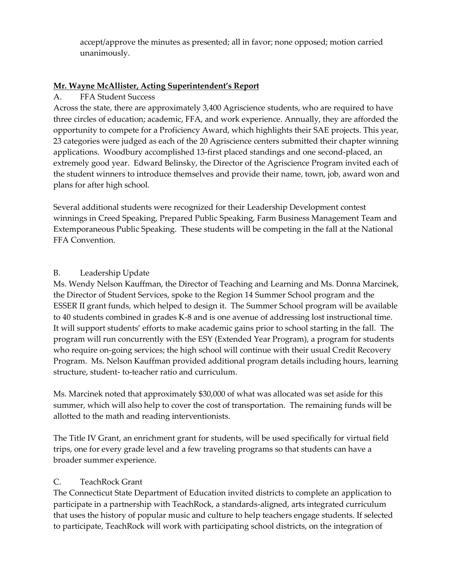accept/approve the minutes as presented; all in favor; none opposed; motion carried unanimously.

### **Mr. Wayne McAllister, Acting Superintendent's Report**

A. FFA Student Success

Across the state, there are approximately 3,400 Agriscience students, who are required to have three circles of education; academic, FFA, and work experience. Annually, they are afforded the opportunity to compete for a Proficiency Award, which highlights their SAE projects. This year, 23 categories were judged as each of the 20 Agriscience centers submitted their chapter winning applications. Woodbury accomplished 13-first placed standings and one second-placed, an extremely good year. Edward Belinsky, the Director of the Agriscience Program invited each of the student winners to introduce themselves and provide their name, town, job, award won and plans for after high school.

Several additional students were recognized for their Leadership Development contest winnings in Creed Speaking, Prepared Public Speaking, Farm Business Management Team and Extemporaneous Public Speaking. These students will be competing in the fall at the National FFA Convention.

### B. Leadership Update

Ms. Wendy Nelson Kauffman, the Director of Teaching and Learning and Ms. Donna Marcinek, the Director of Student Services, spoke to the Region 14 Summer School program and the ESSER II grant funds, which helped to design it. The Summer School program will be available to 40 students combined in grades K-8 and is one avenue of addressing lost instructional time. It will support students' efforts to make academic gains prior to school starting in the fall. The program will run concurrently with the ESY (Extended Year Program), a program for students who require on-going services; the high school will continue with their usual Credit Recovery Program. Ms. Nelson Kauffman provided additional program details including hours, learning structure, student- to-teacher ratio and curriculum.

Ms. Marcinek noted that approximately \$30,000 of what was allocated was set aside for this summer, which will also help to cover the cost of transportation. The remaining funds will be allotted to the math and reading interventionists.

The Title IV Grant, an enrichment grant for students, will be used specifically for virtual field trips, one for every grade level and a few traveling programs so that students can have a broader summer experience.

### C. TeachRock Grant

The Connecticut State Department of Education invited districts to complete an application to participate in a partnership with TeachRock, a standards-aligned, arts integrated curriculum that uses the history of popular music and culture to help teachers engage students. If selected to participate, TeachRock will work with participating school districts, on the integration of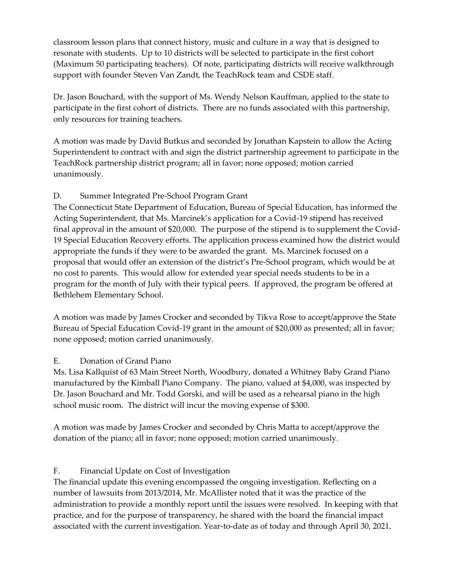classroom lesson plans that connect history, music and culture in a way that is designed to resonate with students. Up to 10 districts will be selected to participate in the first cohort (Maximum 50 participating teachers). Of note, participating districts will receive walkthrough support with founder Steven Van Zandt, the TeachRock team and CSDE staff.

Dr. Jason Bouchard, with the support of Ms. Wendy Nelson Kauffman, applied to the state to participate in the first cohort of districts. There are no funds associated with this partnership, only resources for training teachers.

A motion was made by David Butkus and seconded by Jonathan Kapstein to allow the Acting Superintendent to contract with and sign the district partnership agreement to participate in the TeachRock partnership district program; all in favor; none opposed; motion carried unanimously.

# D. Summer Integrated Pre-School Program Grant

The Connecticut State Department of Education, Bureau of Special Education, has informed the Acting Superintendent, that Ms. Marcinek's application for a Covid-19 stipend has received final approval in the amount of \$20,000. The purpose of the stipend is to supplement the Covid-19 Special Education Recovery efforts. The application process examined how the district would appropriate the funds if they were to be awarded the grant. Ms. Marcinek focused on a proposal that would offer an extension of the district's Pre-School program, which would be at no cost to parents. This would allow for extended year special needs students to be in a program for the month of July with their typical peers. If approved, the program be offered at Bethlehem Elementary School.

A motion was made by James Crocker and seconded by Tikva Rose to accept/approve the State Bureau of Special Education Covid-19 grant in the amount of \$20,000 as presented; all in favor; none opposed; motion carried unanimously.

# E. Donation of Grand Piano

Ms. Lisa Kallquist of 63 Main Street North, Woodbury, donated a Whitney Baby Grand Piano manufactured by the Kimball Piano Company. The piano, valued at \$4,000, was inspected by Dr. Jason Bouchard and Mr. Todd Gorski, and will be used as a rehearsal piano in the high school music room. The district will incur the moving expense of \$300.

A motion was made by James Crocker and seconded by Chris Matta to accept/approve the donation of the piano; all in favor; none opposed; motion carried unanimously.

# F. Financial Update on Cost of Investigation

The financial update this evening encompassed the ongoing investigation. Reflecting on a number of lawsuits from 2013/2014, Mr. McAllister noted that it was the practice of the administration to provide a monthly report until the issues were resolved. In keeping with that practice, and for the purpose of transparency, he shared with the board the financial impact associated with the current investigation. Year-to-date as of today and through April 30, 2021,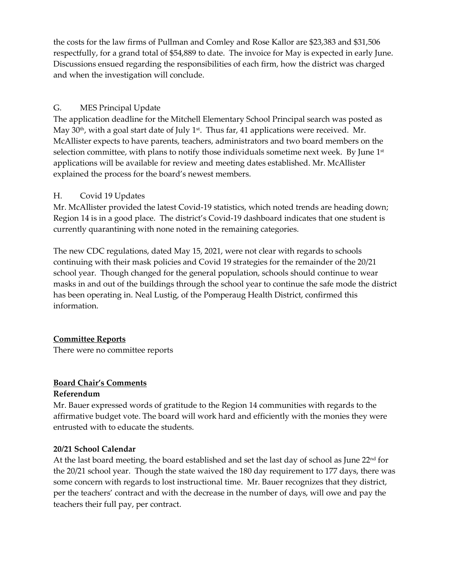the costs for the law firms of Pullman and Comley and Rose Kallor are \$23,383 and \$31,506 respectfully, for a grand total of \$54,889 to date. The invoice for May is expected in early June. Discussions ensued regarding the responsibilities of each firm, how the district was charged and when the investigation will conclude.

### G. MES Principal Update

The application deadline for the Mitchell Elementary School Principal search was posted as May  $30<sup>th</sup>$ , with a goal start date of July 1<sup>st</sup>. Thus far, 41 applications were received. Mr. McAllister expects to have parents, teachers, administrators and two board members on the selection committee, with plans to notify those individuals sometime next week. By June 1<sup>st</sup> applications will be available for review and meeting dates established. Mr. McAllister explained the process for the board's newest members.

### H. Covid 19 Updates

Mr. McAllister provided the latest Covid-19 statistics, which noted trends are heading down; Region 14 is in a good place. The district's Covid-19 dashboard indicates that one student is currently quarantining with none noted in the remaining categories.

The new CDC regulations, dated May 15, 2021, were not clear with regards to schools continuing with their mask policies and Covid 19 strategies for the remainder of the 20/21 school year. Though changed for the general population, schools should continue to wear masks in and out of the buildings through the school year to continue the safe mode the district has been operating in. Neal Lustig, of the Pomperaug Health District, confirmed this information.

# **Committee Reports**

There were no committee reports

# **Board Chair's Comments**

### **Referendum**

Mr. Bauer expressed words of gratitude to the Region 14 communities with regards to the affirmative budget vote. The board will work hard and efficiently with the monies they were entrusted with to educate the students.

### **20/21 School Calendar**

At the last board meeting, the board established and set the last day of school as June  $22<sup>nd</sup>$  for the 20/21 school year. Though the state waived the 180 day requirement to 177 days, there was some concern with regards to lost instructional time. Mr. Bauer recognizes that they district, per the teachers' contract and with the decrease in the number of days, will owe and pay the teachers their full pay, per contract.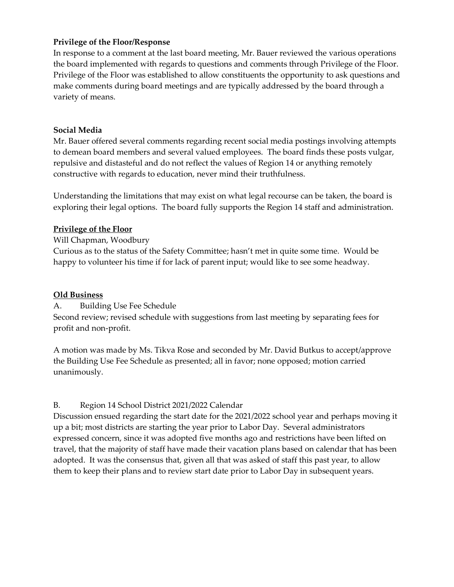#### **Privilege of the Floor/Response**

In response to a comment at the last board meeting, Mr. Bauer reviewed the various operations the board implemented with regards to questions and comments through Privilege of the Floor. Privilege of the Floor was established to allow constituents the opportunity to ask questions and make comments during board meetings and are typically addressed by the board through a variety of means.

#### **Social Media**

Mr. Bauer offered several comments regarding recent social media postings involving attempts to demean board members and several valued employees. The board finds these posts vulgar, repulsive and distasteful and do not reflect the values of Region 14 or anything remotely constructive with regards to education, never mind their truthfulness.

Understanding the limitations that may exist on what legal recourse can be taken, the board is exploring their legal options. The board fully supports the Region 14 staff and administration.

#### **Privilege of the Floor**

Will Chapman, Woodbury

Curious as to the status of the Safety Committee; hasn't met in quite some time. Would be happy to volunteer his time if for lack of parent input; would like to see some headway.

#### **Old Business**

A. Building Use Fee Schedule

Second review; revised schedule with suggestions from last meeting by separating fees for profit and non-profit.

A motion was made by Ms. Tikva Rose and seconded by Mr. David Butkus to accept/approve the Building Use Fee Schedule as presented; all in favor; none opposed; motion carried unanimously.

### B. Region 14 School District 2021/2022 Calendar

Discussion ensued regarding the start date for the 2021/2022 school year and perhaps moving it up a bit; most districts are starting the year prior to Labor Day. Several administrators expressed concern, since it was adopted five months ago and restrictions have been lifted on travel, that the majority of staff have made their vacation plans based on calendar that has been adopted. It was the consensus that, given all that was asked of staff this past year, to allow them to keep their plans and to review start date prior to Labor Day in subsequent years.